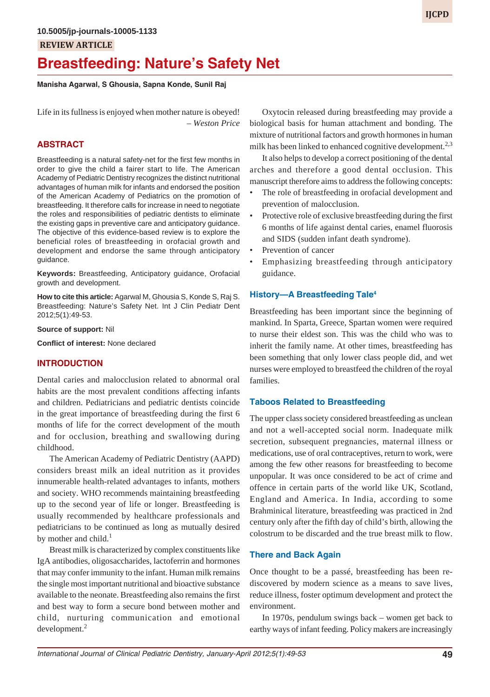# **Breastfeeding: Nature's Safety Net**

#### **Manisha Agarwal, S Ghousia, Sapna Konde, Sunil Raj**

Life in its fullness is enjoyed when mother nature is obeyed! *– Weston Price*

# **ABSTRACT**

Breastfeeding is a natural safety-net for the first few months in order to give the child a fairer start to life. The American Academy of Pediatric Dentistry recognizes the distinct nutritional advantages of human milk for infants and endorsed the position of the American Academy of Pediatrics on the promotion of breastfeeding. It therefore calls for increase in need to negotiate the roles and responsibilities of pediatric dentists to eliminate the existing gaps in preventive care and anticipatory guidance. The objective of this evidence-based review is to explore the beneficial roles of breastfeeding in orofacial growth and development and endorse the same through anticipatory guidance.

**Keywords:** Breastfeeding, Anticipatory guidance, Orofacial growth and development.

**How to cite this article:** Agarwal M, Ghousia S, Konde S, Raj S. Breastfeeding: Nature's Safety Net. Int J Clin Pediatr Dent 2012;5(1):49-53.

**Source of support:** Nil

**Conflict of interest:** None declared

#### **INTRODUCTION**

Dental caries and malocclusion related to abnormal oral habits are the most prevalent conditions affecting infants and children. Pediatricians and pediatric dentists coincide in the great importance of breastfeeding during the first 6 months of life for the correct development of the mouth and for occlusion, breathing and swallowing during childhood.

The American Academy of Pediatric Dentistry (AAPD) considers breast milk an ideal nutrition as it provides innumerable health-related advantages to infants, mothers and society. WHO recommends maintaining breastfeeding up to the second year of life or longer. Breastfeeding is usually recommended by healthcare professionals and pediatricians to be continued as long as mutually desired by mother and child. $<sup>1</sup>$ </sup>

Breast milk is characterized by complex constituents like IgA antibodies, oligosaccharides, lactoferrin and hormones that may confer immunity to the infant. Human milk remains the single most important nutritional and bioactive substance available to the neonate. Breastfeeding also remains the first and best way to form a secure bond between mother and child, nurturing communication and emotional development.2

Oxytocin released during breastfeeding may provide a biological basis for human attachment and bonding. The mixture of nutritional factors and growth hormones in human milk has been linked to enhanced cognitive development.<sup>2,3</sup>

It also helps to develop a correct positioning of the dental arches and therefore a good dental occlusion. This manuscript therefore aims to address the following concepts:

- The role of breastfeeding in orofacial development and prevention of malocclusion.
- Protective role of exclusive breastfeeding during the first 6 months of life against dental caries, enamel fluorosis and SIDS (sudden infant death syndrome).
- Prevention of cancer
- Emphasizing breastfeeding through anticipatory guidance.

## **History—A Breastfeeding Tale4**

Breastfeeding has been important since the beginning of mankind. In Sparta, Greece, Spartan women were required to nurse their eldest son. This was the child who was to inherit the family name. At other times, breastfeeding has been something that only lower class people did, and wet nurses were employed to breastfeed the children of the royal families.

#### **Taboos Related to Breastfeeding**

The upper class society considered breastfeeding as unclean and not a well-accepted social norm. Inadequate milk secretion, subsequent pregnancies, maternal illness or medications, use of oral contraceptives, return to work, were among the few other reasons for breastfeeding to become unpopular. It was once considered to be act of crime and offence in certain parts of the world like UK, Scotland, England and America. In India, according to some Brahminical literature, breastfeeding was practiced in 2nd century only after the fifth day of child's birth, allowing the colostrum to be discarded and the true breast milk to flow.

#### **There and Back Again**

Once thought to be a passé, breastfeeding has been rediscovered by modern science as a means to save lives, reduce illness, foster optimum development and protect the environment.

In 1970s, pendulum swings back – women get back to earthy ways of infant feeding. Policy makers are increasingly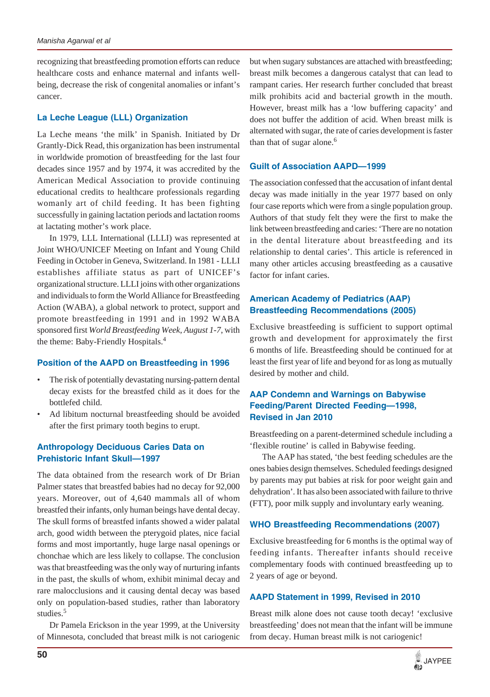recognizing that breastfeeding promotion efforts can reduce healthcare costs and enhance maternal and infants wellbeing, decrease the risk of congenital anomalies or infant's cancer.

## **La Leche League (LLL) Organization**

La Leche means 'the milk' in Spanish. Initiated by Dr Grantly-Dick Read, this organization has been instrumental in worldwide promotion of breastfeeding for the last four decades since 1957 and by 1974, it was accredited by the American Medical Association to provide continuing educational credits to healthcare professionals regarding womanly art of child feeding. It has been fighting successfully in gaining lactation periods and lactation rooms at lactating mother's work place.

In 1979, LLL International (LLLI) was represented at Joint WHO/UNICEF Meeting on Infant and Young Child Feeding in October in Geneva, Switzerland. In 1981 - LLLI establishes affiliate status as part of UNICEF's organizational structure. LLLI joins with other organizations and individuals to form the World Alliance for Breastfeeding Action (WABA), a global network to protect, support and promote breastfeeding in 1991 and in 1992 WABA sponsored first *World Breastfeeding Week*, *August 1-7*, with the theme: Baby-Friendly Hospitals.<sup>4</sup>

## **Position of the AAPD on Breastfeeding in 1996**

- The risk of potentially devastating nursing-pattern dental decay exists for the breastfed child as it does for the bottlefed child.
- Ad libitum nocturnal breastfeeding should be avoided after the first primary tooth begins to erupt.

# **Anthropology Deciduous Caries Data on Prehistoric Infant Skull—1997**

The data obtained from the research work of Dr Brian Palmer states that breastfed babies had no decay for 92,000 years. Moreover, out of 4,640 mammals all of whom breastfed their infants, only human beings have dental decay. The skull forms of breastfed infants showed a wider palatal arch, good width between the pterygoid plates, nice facial forms and most importantly, huge large nasal openings or chonchae which are less likely to collapse. The conclusion was that breastfeeding was the only way of nurturing infants in the past, the skulls of whom, exhibit minimal decay and rare malocclusions and it causing dental decay was based only on population-based studies, rather than laboratory studies.<sup>5</sup>

Dr Pamela Erickson in the year 1999, at the University of Minnesota, concluded that breast milk is not cariogenic but when sugary substances are attached with breastfeeding; breast milk becomes a dangerous catalyst that can lead to rampant caries. Her research further concluded that breast milk prohibits acid and bacterial growth in the mouth. However, breast milk has a 'low buffering capacity' and does not buffer the addition of acid. When breast milk is alternated with sugar, the rate of caries development is faster than that of sugar alone. $6$ 

#### **Guilt of Association AAPD—1999**

The association confessed that the accusation of infant dental decay was made initially in the year 1977 based on only four case reports which were from a single population group. Authors of that study felt they were the first to make the link between breastfeeding and caries: 'There are no notation in the dental literature about breastfeeding and its relationship to dental caries'. This article is referenced in many other articles accusing breastfeeding as a causative factor for infant caries.

# **American Academy of Pediatrics (AAP) Breastfeeding Recommendations (2005)**

Exclusive breastfeeding is sufficient to support optimal growth and development for approximately the first 6 months of life. Breastfeeding should be continued for at least the first year of life and beyond for as long as mutually desired by mother and child.

## **AAP Condemn and Warnings on Babywise Feeding/Parent Directed Feeding—1998, Revised in Jan 2010**

Breastfeeding on a parent-determined schedule including a 'flexible routine' is called in Babywise feeding.

The AAP has stated, 'the best feeding schedules are the ones babies design themselves. Scheduled feedings designed by parents may put babies at risk for poor weight gain and dehydration'. It has also been associated with failure to thrive (FTT), poor milk supply and involuntary early weaning.

#### **WHO Breastfeeding Recommendations (2007)**

Exclusive breastfeeding for 6 months is the optimal way of feeding infants. Thereafter infants should receive complementary foods with continued breastfeeding up to 2 years of age or beyond.

#### **AAPD Statement in 1999, Revised in 2010**

Breast milk alone does not cause tooth decay! 'exclusive breastfeeding' does not mean that the infant will be immune from decay. Human breast milk is not cariogenic!

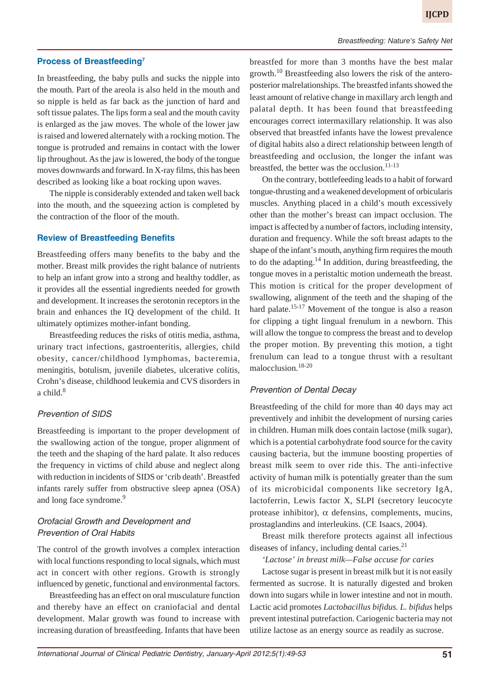#### **Process of Breastfeeding7**

In breastfeeding, the baby pulls and sucks the nipple into the mouth. Part of the areola is also held in the mouth and so nipple is held as far back as the junction of hard and soft tissue palates. The lips form a seal and the mouth cavity is enlarged as the jaw moves. The whole of the lower jaw is raised and lowered alternately with a rocking motion. The tongue is protruded and remains in contact with the lower lip throughout. As the jaw is lowered, the body of the tongue moves downwards and forward. In X-ray films, this has been described as looking like a boat rocking upon waves.

The nipple is considerably extended and taken well back into the mouth, and the squeezing action is completed by the contraction of the floor of the mouth.

#### **Review of Breastfeeding Benefits**

Breastfeeding offers many benefits to the baby and the mother. Breast milk provides the right balance of nutrients to help an infant grow into a strong and healthy toddler, as it provides all the essential ingredients needed for growth and development. It increases the serotonin receptors in the brain and enhances the IQ development of the child. It ultimately optimizes mother-infant bonding.

Breastfeeding reduces the risks of otitis media, asthma, urinary tract infections, gastroenteritis, allergies, child obesity, cancer/childhood lymphomas, bacteremia, meningitis, botulism, juvenile diabetes, ulcerative colitis, Crohn's disease, childhood leukemia and CVS disorders in  $a$  child. $8$ 

#### *Prevention of SIDS*

Breastfeeding is important to the proper development of the swallowing action of the tongue, proper alignment of the teeth and the shaping of the hard palate. It also reduces the frequency in victims of child abuse and neglect along with reduction in incidents of SIDS or 'crib death'. Breastfed infants rarely suffer from obstructive sleep apnea (OSA) and long face syndrome.<sup>9</sup>

# *Orofacial Growth and Development and Prevention of Oral Habits*

The control of the growth involves a complex interaction with local functions responding to local signals, which must act in concert with other regions. Growth is strongly influenced by genetic, functional and environmental factors.

Breastfeeding has an effect on oral musculature function and thereby have an effect on craniofacial and dental development. Malar growth was found to increase with increasing duration of breastfeeding. Infants that have been

breastfed for more than 3 months have the best malar growth.<sup>10</sup> Breastfeeding also lowers the risk of the anteroposterior malrelationships. The breastfed infants showed the least amount of relative change in maxillary arch length and palatal depth. It has been found that breastfeeding encourages correct intermaxillary relationship. It was also observed that breastfed infants have the lowest prevalence of digital habits also a direct relationship between length of breastfeeding and occlusion, the longer the infant was breastfed, the better was the occlusion. $11-13$ 

On the contrary, bottlefeeding leads to a habit of forward tongue-thrusting and a weakened development of orbicularis muscles. Anything placed in a child's mouth excessively other than the mother's breast can impact occlusion. The impact is affected by a number of factors, including intensity, duration and frequency. While the soft breast adapts to the shape of the infant's mouth, anything firm requires the mouth to do the adapting.<sup>14</sup> In addition, during breastfeeding, the tongue moves in a peristaltic motion underneath the breast. This motion is critical for the proper development of swallowing, alignment of the teeth and the shaping of the hard palate.<sup>15-17</sup> Movement of the tongue is also a reason for clipping a tight lingual frenulum in a newborn. This will allow the tongue to compress the breast and to develop the proper motion. By preventing this motion, a tight frenulum can lead to a tongue thrust with a resultant malocclusion.<sup>18-20</sup>

#### *Prevention of Dental Decay*

Breastfeeding of the child for more than 40 days may act preventively and inhibit the development of nursing caries in children. Human milk does contain lactose (milk sugar), which is a potential carbohydrate food source for the cavity causing bacteria, but the immune boosting properties of breast milk seem to over ride this. The anti-infective activity of human milk is potentially greater than the sum of its microbicidal components like secretory IgA, lactoferrin, Lewis factor X, SLPI (secretory leucocyte protease inhibitor),  $\alpha$  defensins, complements, mucins, prostaglandins and interleukins. (CE Isaacs, 2004).

Breast milk therefore protects against all infectious diseases of infancy, including dental caries.<sup>21</sup>

*'Lactose' in breast milk—False accuse for caries*

Lactose sugar is present in breast milk but it is not easily fermented as sucrose. It is naturally digested and broken down into sugars while in lower intestine and not in mouth. Lactic acid promotes *Lactobacillus bifidus. L. bifidus* helps prevent intestinal putrefaction. Cariogenic bacteria may not utilize lactose as an energy source as readily as sucrose.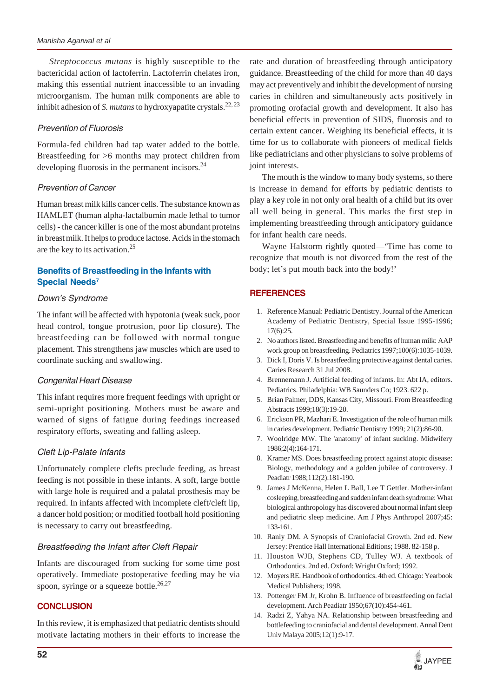*Streptococcus mutans* is highly susceptible to the bactericidal action of lactoferrin. Lactoferrin chelates iron, making this essential nutrient inaccessible to an invading microorganism. The human milk components are able to inhibit adhesion of *S. mutans* to hydroxyapatite crystals.<sup>22, 23</sup>

# *Prevention of Fluorosis*

Formula-fed children had tap water added to the bottle. Breastfeeding for >6 months may protect children from developing fluorosis in the permanent incisors.<sup>24</sup>

# *Prevention of Cancer*

Human breast milk kills cancer cells. The substance known as HAMLET (human alpha-lactalbumin made lethal to tumor cells) - the cancer killer is one of the most abundant proteins in breast milk. It helps to produce lactose. Acids in the stomach are the key to its activation.<sup>25</sup>

# **Benefits of Breastfeeding in the Infants with Special Needs7**

# *Down's Syndrome*

The infant will be affected with hypotonia (weak suck, poor head control, tongue protrusion, poor lip closure). The breastfeeding can be followed with normal tongue placement. This strengthens jaw muscles which are used to coordinate sucking and swallowing.

# *Congenital Heart Disease*

This infant requires more frequent feedings with upright or semi-upright positioning. Mothers must be aware and warned of signs of fatigue during feedings increased respiratory efforts, sweating and falling asleep.

# *Cleft Lip-Palate Infants*

Unfortunately complete clefts preclude feeding, as breast feeding is not possible in these infants. A soft, large bottle with large hole is required and a palatal prosthesis may be required. In infants affected with incomplete cleft/cleft lip, a dancer hold position; or modified football hold positioning is necessary to carry out breastfeeding.

# *Breastfeeding the Infant after Cleft Repair*

Infants are discouraged from sucking for some time post operatively. Immediate postoperative feeding may be via spoon, syringe or a squeeze bottle. $26,27$ 

# **CONCLUSION**

In this review, it is emphasized that pediatric dentists should motivate lactating mothers in their efforts to increase the

rate and duration of breastfeeding through anticipatory guidance. Breastfeeding of the child for more than 40 days may act preventively and inhibit the development of nursing caries in children and simultaneously acts positively in promoting orofacial growth and development. It also has beneficial effects in prevention of SIDS, fluorosis and to certain extent cancer. Weighing its beneficial effects, it is time for us to collaborate with pioneers of medical fields like pediatricians and other physicians to solve problems of joint interests.

The mouth is the window to many body systems, so there is increase in demand for efforts by pediatric dentists to play a key role in not only oral health of a child but its over all well being in general. This marks the first step in implementing breastfeeding through anticipatory guidance for infant health care needs.

Wayne Halstorm rightly quoted—'Time has come to recognize that mouth is not divorced from the rest of the body; let's put mouth back into the body!'

# **REFERENCES**

- 1. Reference Manual: Pediatric Dentistry. Journal of the American Academy of Pediatric Dentistry, Special Issue 1995-1996; 17(6):25.
- 2. No authors listed. Breastfeeding and benefits of human milk: AAP work group on breastfeeding. Pediatrics 1997;100(6):1035-1039.
- 3. Dick I, Doris V. Is breastfeeding protective against dental caries. Caries Research 31 Jul 2008.
- 4. Brennemann J. Artificial feeding of infants. In: Abt IA, editors. Pediatrics. Philadelphia: WB Saunders Co; 1923. 622 p.
- 5. Brian Palmer, DDS, Kansas City, Missouri. From Breastfeeding Abstracts 1999;18(3):19-20.
- 6. Erickson PR, Mazhari E. Investigation of the role of human milk in caries development. Pediatric Dentistry 1999; 21(2):86-90.
- 7. Woolridge MW. The 'anatomy' of infant sucking. Midwifery 1986;2(4):164-171.
- 8. Kramer MS. Does breastfeeding protect against atopic disease: Biology, methodology and a golden jubilee of controversy. J Peadiatr 1988;112(2):181-190.
- 9. James J McKenna, Helen L Ball, Lee T Gettler. Mother-infant cosleeping, breastfeeding and sudden infant death syndrome: What biological anthropology has discovered about normal infant sleep and pediatric sleep medicine. Am J Phys Anthropol 2007;45: 133-161.
- 10. Ranly DM. A Synopsis of Craniofacial Growth. 2nd ed. New Jersey: Prentice Hall International Editions; 1988. 82-158 p.
- 11. Houston WJB, Stephens CD, Tulley WJ. A textbook of Orthodontics. 2nd ed. Oxford: Wright Oxford; 1992.
- 12. Moyers RE. Handbook of orthodontics. 4th ed. Chicago: Yearbook Medical Publishers; 1998.
- 13. Pottenger FM Jr, Krohn B. Influence of breastfeeding on facial development. Arch Peadiatr 1950;67(10):454-461.
- 14. Radzi Z, Yahya NA. Relationship between breastfeeding and bottlefeeding to craniofacial and dental development. Annal Dent Univ Malaya 2005;12(1):9-17.